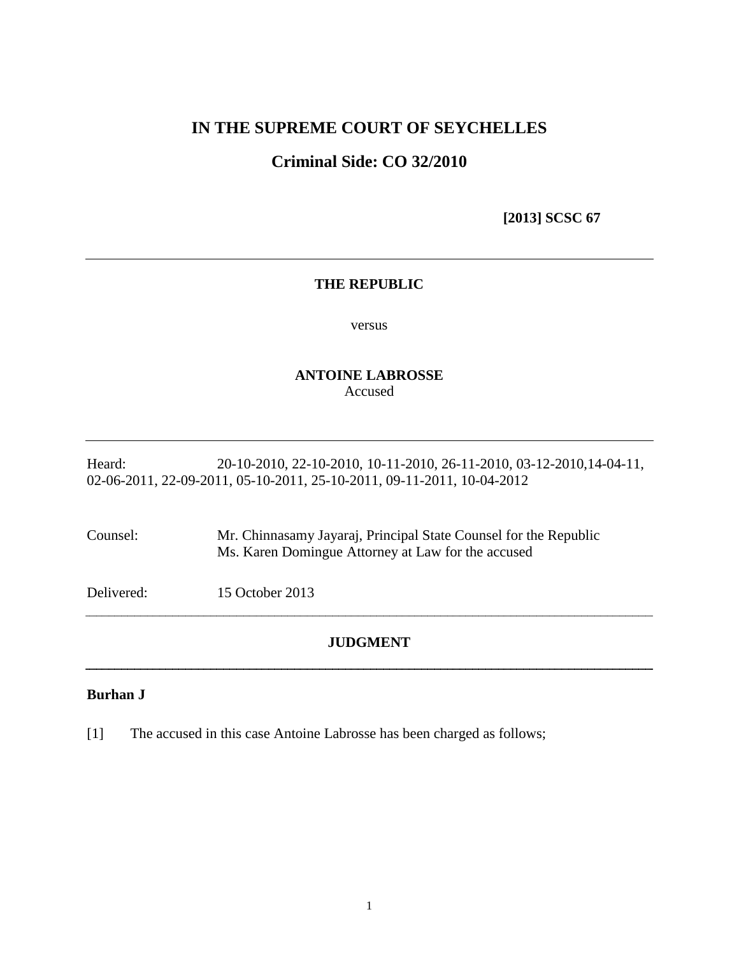## **IN THE SUPREME COURT OF SEYCHELLES**

# **Criminal Side: CO 32/2010**

 **[2013] SCSC 67**

### **THE REPUBLIC**

versus

## **ANTOINE LABROSSE** Accused

Heard: 20-10-2010, 22-10-2010, 10-11-2010, 26-11-2010, 03-12-2010, 14-04-11, 02-06-2011, 22-09-2011, 05-10-2011, 25-10-2011, 09-11-2011, 10-04-2012

Counsel: Mr. Chinnasamy Jayaraj, Principal State Counsel for the Republic Ms. Karen Domingue Attorney at Law for the accused

Delivered: 15 October 2013

## **JUDGMENT**

## **Burhan J**

[1] The accused in this case Antoine Labrosse has been charged as follows;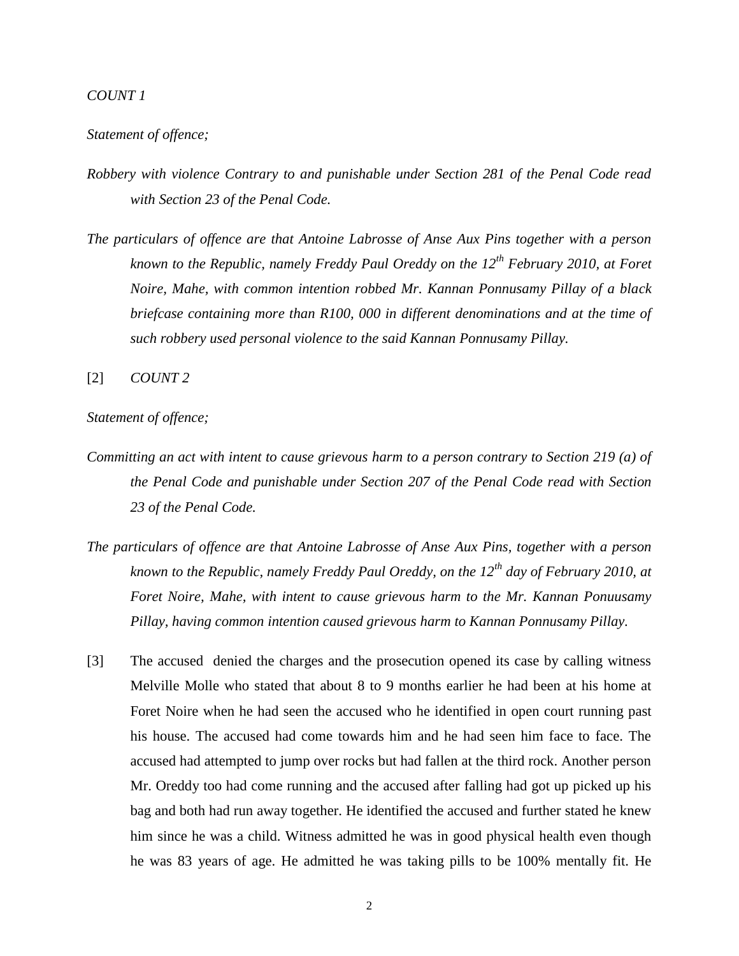### *COUNT 1*

## *Statement of offence;*

- *Robbery with violence Contrary to and punishable under Section 281 of the Penal Code read with Section 23 of the Penal Code.*
- *The particulars of offence are that Antoine Labrosse of Anse Aux Pins together with a person known to the Republic, namely Freddy Paul Oreddy on the 12th February 2010, at Foret Noire, Mahe, with common intention robbed Mr. Kannan Ponnusamy Pillay of a black briefcase containing more than R100, 000 in different denominations and at the time of such robbery used personal violence to the said Kannan Ponnusamy Pillay.*

[2] *COUNT 2*

#### *Statement of offence;*

- *Committing an act with intent to cause grievous harm to a person contrary to Section 219 (a) of the Penal Code and punishable under Section 207 of the Penal Code read with Section 23 of the Penal Code.*
- *The particulars of offence are that Antoine Labrosse of Anse Aux Pins, together with a person known to the Republic, namely Freddy Paul Oreddy, on the 12th day of February 2010, at Foret Noire, Mahe, with intent to cause grievous harm to the Mr. Kannan Ponuusamy Pillay, having common intention caused grievous harm to Kannan Ponnusamy Pillay.*
- [3] The accused denied the charges and the prosecution opened its case by calling witness Melville Molle who stated that about 8 to 9 months earlier he had been at his home at Foret Noire when he had seen the accused who he identified in open court running past his house. The accused had come towards him and he had seen him face to face. The accused had attempted to jump over rocks but had fallen at the third rock. Another person Mr. Oreddy too had come running and the accused after falling had got up picked up his bag and both had run away together. He identified the accused and further stated he knew him since he was a child. Witness admitted he was in good physical health even though he was 83 years of age. He admitted he was taking pills to be 100% mentally fit. He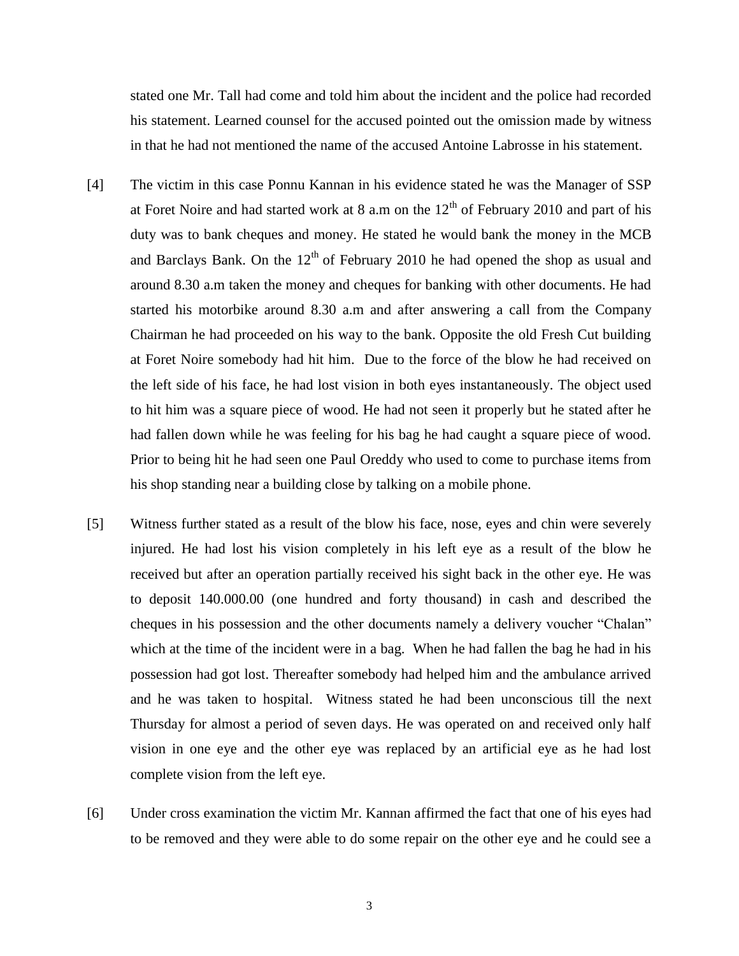stated one Mr. Tall had come and told him about the incident and the police had recorded his statement. Learned counsel for the accused pointed out the omission made by witness in that he had not mentioned the name of the accused Antoine Labrosse in his statement.

- [4] The victim in this case Ponnu Kannan in his evidence stated he was the Manager of SSP at Foret Noire and had started work at 8 a.m on the  $12<sup>th</sup>$  of February 2010 and part of his duty was to bank cheques and money. He stated he would bank the money in the MCB and Barclays Bank. On the  $12<sup>th</sup>$  of February 2010 he had opened the shop as usual and around 8.30 a.m taken the money and cheques for banking with other documents. He had started his motorbike around 8.30 a.m and after answering a call from the Company Chairman he had proceeded on his way to the bank. Opposite the old Fresh Cut building at Foret Noire somebody had hit him. Due to the force of the blow he had received on the left side of his face, he had lost vision in both eyes instantaneously. The object used to hit him was a square piece of wood. He had not seen it properly but he stated after he had fallen down while he was feeling for his bag he had caught a square piece of wood. Prior to being hit he had seen one Paul Oreddy who used to come to purchase items from his shop standing near a building close by talking on a mobile phone.
- [5] Witness further stated as a result of the blow his face, nose, eyes and chin were severely injured. He had lost his vision completely in his left eye as a result of the blow he received but after an operation partially received his sight back in the other eye. He was to deposit 140.000.00 (one hundred and forty thousand) in cash and described the cheques in his possession and the other documents namely a delivery voucher "Chalan" which at the time of the incident were in a bag. When he had fallen the bag he had in his possession had got lost. Thereafter somebody had helped him and the ambulance arrived and he was taken to hospital. Witness stated he had been unconscious till the next Thursday for almost a period of seven days. He was operated on and received only half vision in one eye and the other eye was replaced by an artificial eye as he had lost complete vision from the left eye.
- [6] Under cross examination the victim Mr. Kannan affirmed the fact that one of his eyes had to be removed and they were able to do some repair on the other eye and he could see a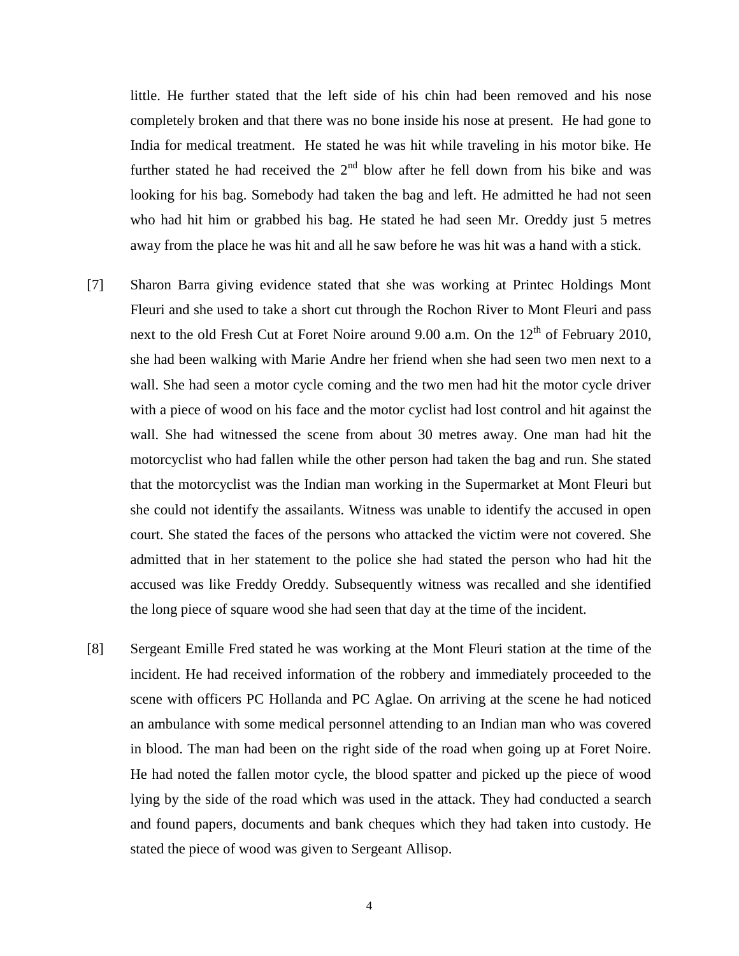little. He further stated that the left side of his chin had been removed and his nose completely broken and that there was no bone inside his nose at present. He had gone to India for medical treatment. He stated he was hit while traveling in his motor bike. He further stated he had received the  $2<sup>nd</sup>$  blow after he fell down from his bike and was looking for his bag. Somebody had taken the bag and left. He admitted he had not seen who had hit him or grabbed his bag. He stated he had seen Mr. Oreddy just 5 metres away from the place he was hit and all he saw before he was hit was a hand with a stick.

- [7] Sharon Barra giving evidence stated that she was working at Printec Holdings Mont Fleuri and she used to take a short cut through the Rochon River to Mont Fleuri and pass next to the old Fresh Cut at Foret Noire around 9.00 a.m. On the  $12<sup>th</sup>$  of February 2010, she had been walking with Marie Andre her friend when she had seen two men next to a wall. She had seen a motor cycle coming and the two men had hit the motor cycle driver with a piece of wood on his face and the motor cyclist had lost control and hit against the wall. She had witnessed the scene from about 30 metres away. One man had hit the motorcyclist who had fallen while the other person had taken the bag and run. She stated that the motorcyclist was the Indian man working in the Supermarket at Mont Fleuri but she could not identify the assailants. Witness was unable to identify the accused in open court. She stated the faces of the persons who attacked the victim were not covered. She admitted that in her statement to the police she had stated the person who had hit the accused was like Freddy Oreddy. Subsequently witness was recalled and she identified the long piece of square wood she had seen that day at the time of the incident.
- [8] Sergeant Emille Fred stated he was working at the Mont Fleuri station at the time of the incident. He had received information of the robbery and immediately proceeded to the scene with officers PC Hollanda and PC Aglae. On arriving at the scene he had noticed an ambulance with some medical personnel attending to an Indian man who was covered in blood. The man had been on the right side of the road when going up at Foret Noire. He had noted the fallen motor cycle, the blood spatter and picked up the piece of wood lying by the side of the road which was used in the attack. They had conducted a search and found papers, documents and bank cheques which they had taken into custody. He stated the piece of wood was given to Sergeant Allisop.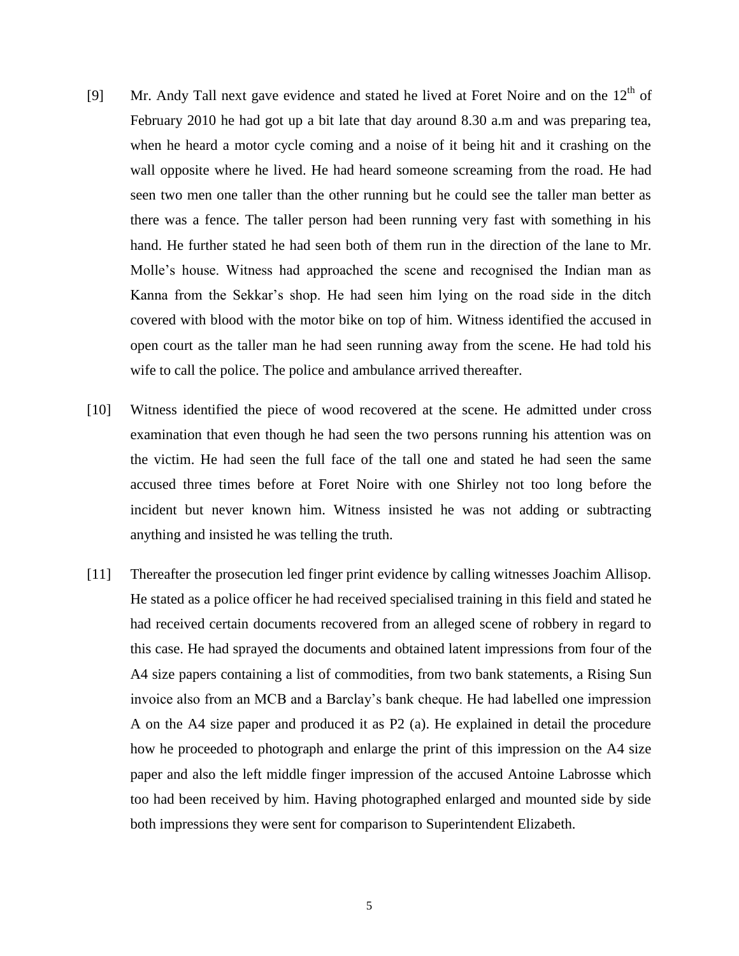- [9] Mr. Andy Tall next gave evidence and stated he lived at Foret Noire and on the  $12<sup>th</sup>$  of February 2010 he had got up a bit late that day around 8.30 a.m and was preparing tea, when he heard a motor cycle coming and a noise of it being hit and it crashing on the wall opposite where he lived. He had heard someone screaming from the road. He had seen two men one taller than the other running but he could see the taller man better as there was a fence. The taller person had been running very fast with something in his hand. He further stated he had seen both of them run in the direction of the lane to Mr. Molle"s house. Witness had approached the scene and recognised the Indian man as Kanna from the Sekkar"s shop. He had seen him lying on the road side in the ditch covered with blood with the motor bike on top of him. Witness identified the accused in open court as the taller man he had seen running away from the scene. He had told his wife to call the police. The police and ambulance arrived thereafter.
- [10] Witness identified the piece of wood recovered at the scene. He admitted under cross examination that even though he had seen the two persons running his attention was on the victim. He had seen the full face of the tall one and stated he had seen the same accused three times before at Foret Noire with one Shirley not too long before the incident but never known him. Witness insisted he was not adding or subtracting anything and insisted he was telling the truth.
- [11] Thereafter the prosecution led finger print evidence by calling witnesses Joachim Allisop. He stated as a police officer he had received specialised training in this field and stated he had received certain documents recovered from an alleged scene of robbery in regard to this case. He had sprayed the documents and obtained latent impressions from four of the A4 size papers containing a list of commodities, from two bank statements, a Rising Sun invoice also from an MCB and a Barclay"s bank cheque. He had labelled one impression A on the A4 size paper and produced it as P2 (a). He explained in detail the procedure how he proceeded to photograph and enlarge the print of this impression on the A4 size paper and also the left middle finger impression of the accused Antoine Labrosse which too had been received by him. Having photographed enlarged and mounted side by side both impressions they were sent for comparison to Superintendent Elizabeth.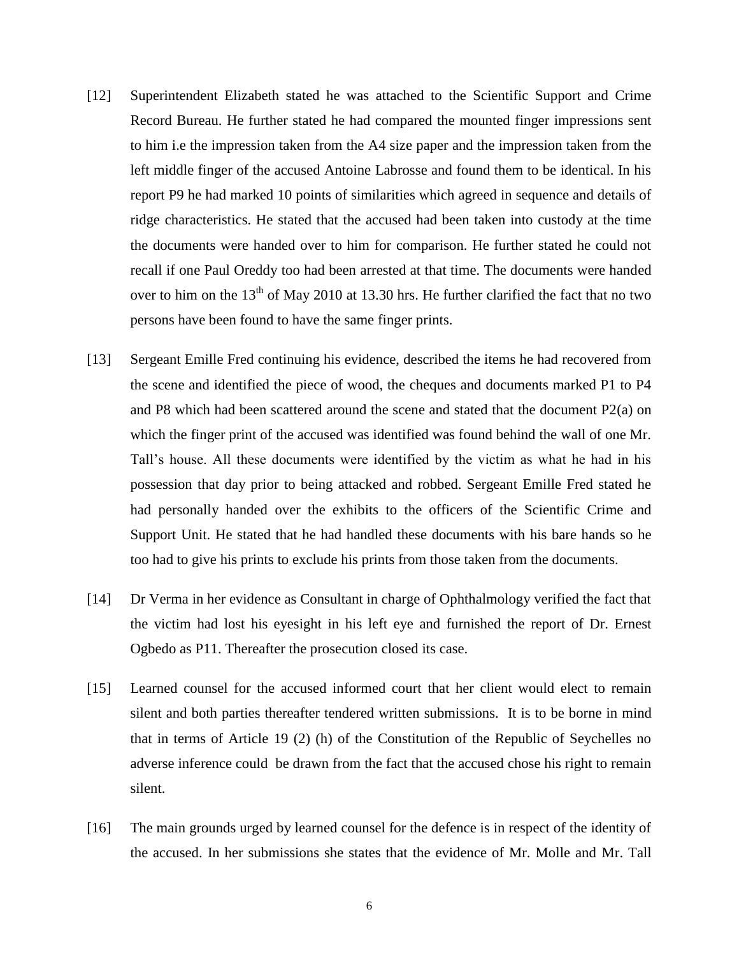- [12] Superintendent Elizabeth stated he was attached to the Scientific Support and Crime Record Bureau. He further stated he had compared the mounted finger impressions sent to him i.e the impression taken from the A4 size paper and the impression taken from the left middle finger of the accused Antoine Labrosse and found them to be identical. In his report P9 he had marked 10 points of similarities which agreed in sequence and details of ridge characteristics. He stated that the accused had been taken into custody at the time the documents were handed over to him for comparison. He further stated he could not recall if one Paul Oreddy too had been arrested at that time. The documents were handed over to him on the  $13<sup>th</sup>$  of May 2010 at 13.30 hrs. He further clarified the fact that no two persons have been found to have the same finger prints.
- [13] Sergeant Emille Fred continuing his evidence, described the items he had recovered from the scene and identified the piece of wood, the cheques and documents marked P1 to P4 and P8 which had been scattered around the scene and stated that the document P2(a) on which the finger print of the accused was identified was found behind the wall of one Mr. Tall"s house. All these documents were identified by the victim as what he had in his possession that day prior to being attacked and robbed. Sergeant Emille Fred stated he had personally handed over the exhibits to the officers of the Scientific Crime and Support Unit. He stated that he had handled these documents with his bare hands so he too had to give his prints to exclude his prints from those taken from the documents.
- [14] Dr Verma in her evidence as Consultant in charge of Ophthalmology verified the fact that the victim had lost his eyesight in his left eye and furnished the report of Dr. Ernest Ogbedo as P11. Thereafter the prosecution closed its case.
- [15] Learned counsel for the accused informed court that her client would elect to remain silent and both parties thereafter tendered written submissions. It is to be borne in mind that in terms of Article 19 (2) (h) of the Constitution of the Republic of Seychelles no adverse inference could be drawn from the fact that the accused chose his right to remain silent.
- [16] The main grounds urged by learned counsel for the defence is in respect of the identity of the accused. In her submissions she states that the evidence of Mr. Molle and Mr. Tall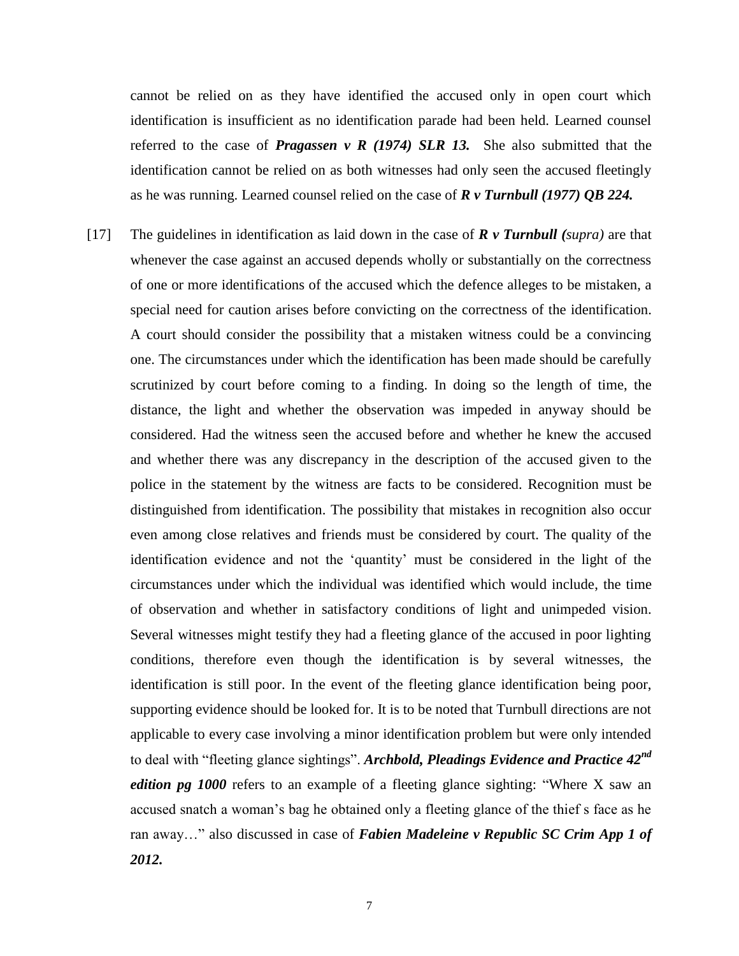cannot be relied on as they have identified the accused only in open court which identification is insufficient as no identification parade had been held. Learned counsel referred to the case of **Pragassen** v **R** (1974) SLR 13. She also submitted that the identification cannot be relied on as both witnesses had only seen the accused fleetingly as he was running. Learned counsel relied on the case of *R v Turnbull (1977) QB 224.*

[17] The guidelines in identification as laid down in the case of *R v Turnbull (supra)* are that whenever the case against an accused depends wholly or substantially on the correctness of one or more identifications of the accused which the defence alleges to be mistaken, a special need for caution arises before convicting on the correctness of the identification. A court should consider the possibility that a mistaken witness could be a convincing one. The circumstances under which the identification has been made should be carefully scrutinized by court before coming to a finding. In doing so the length of time, the distance, the light and whether the observation was impeded in anyway should be considered. Had the witness seen the accused before and whether he knew the accused and whether there was any discrepancy in the description of the accused given to the police in the statement by the witness are facts to be considered. Recognition must be distinguished from identification. The possibility that mistakes in recognition also occur even among close relatives and friends must be considered by court. The quality of the identification evidence and not the "quantity" must be considered in the light of the circumstances under which the individual was identified which would include, the time of observation and whether in satisfactory conditions of light and unimpeded vision. Several witnesses might testify they had a fleeting glance of the accused in poor lighting conditions, therefore even though the identification is by several witnesses, the identification is still poor. In the event of the fleeting glance identification being poor, supporting evidence should be looked for. It is to be noted that Turnbull directions are not applicable to every case involving a minor identification problem but were only intended to deal with "fleeting glance sightings". *Archbold, Pleadings Evidence and Practice 42nd edition pg 1000* refers to an example of a fleeting glance sighting: "Where X saw an accused snatch a woman"s bag he obtained only a fleeting glance of the thief s face as he ran away…" also discussed in case of *Fabien Madeleine v Republic SC Crim App 1 of 2012.*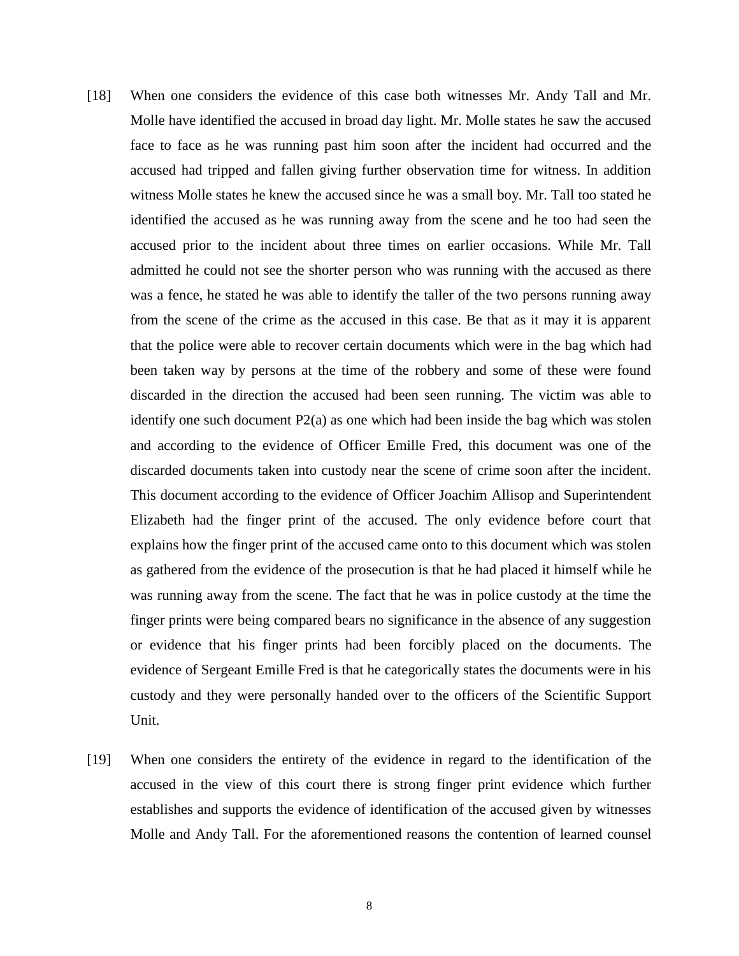- [18] When one considers the evidence of this case both witnesses Mr. Andy Tall and Mr. Molle have identified the accused in broad day light. Mr. Molle states he saw the accused face to face as he was running past him soon after the incident had occurred and the accused had tripped and fallen giving further observation time for witness. In addition witness Molle states he knew the accused since he was a small boy. Mr. Tall too stated he identified the accused as he was running away from the scene and he too had seen the accused prior to the incident about three times on earlier occasions. While Mr. Tall admitted he could not see the shorter person who was running with the accused as there was a fence, he stated he was able to identify the taller of the two persons running away from the scene of the crime as the accused in this case. Be that as it may it is apparent that the police were able to recover certain documents which were in the bag which had been taken way by persons at the time of the robbery and some of these were found discarded in the direction the accused had been seen running. The victim was able to identify one such document P2(a) as one which had been inside the bag which was stolen and according to the evidence of Officer Emille Fred, this document was one of the discarded documents taken into custody near the scene of crime soon after the incident. This document according to the evidence of Officer Joachim Allisop and Superintendent Elizabeth had the finger print of the accused. The only evidence before court that explains how the finger print of the accused came onto to this document which was stolen as gathered from the evidence of the prosecution is that he had placed it himself while he was running away from the scene. The fact that he was in police custody at the time the finger prints were being compared bears no significance in the absence of any suggestion or evidence that his finger prints had been forcibly placed on the documents. The evidence of Sergeant Emille Fred is that he categorically states the documents were in his custody and they were personally handed over to the officers of the Scientific Support Unit.
- [19] When one considers the entirety of the evidence in regard to the identification of the accused in the view of this court there is strong finger print evidence which further establishes and supports the evidence of identification of the accused given by witnesses Molle and Andy Tall. For the aforementioned reasons the contention of learned counsel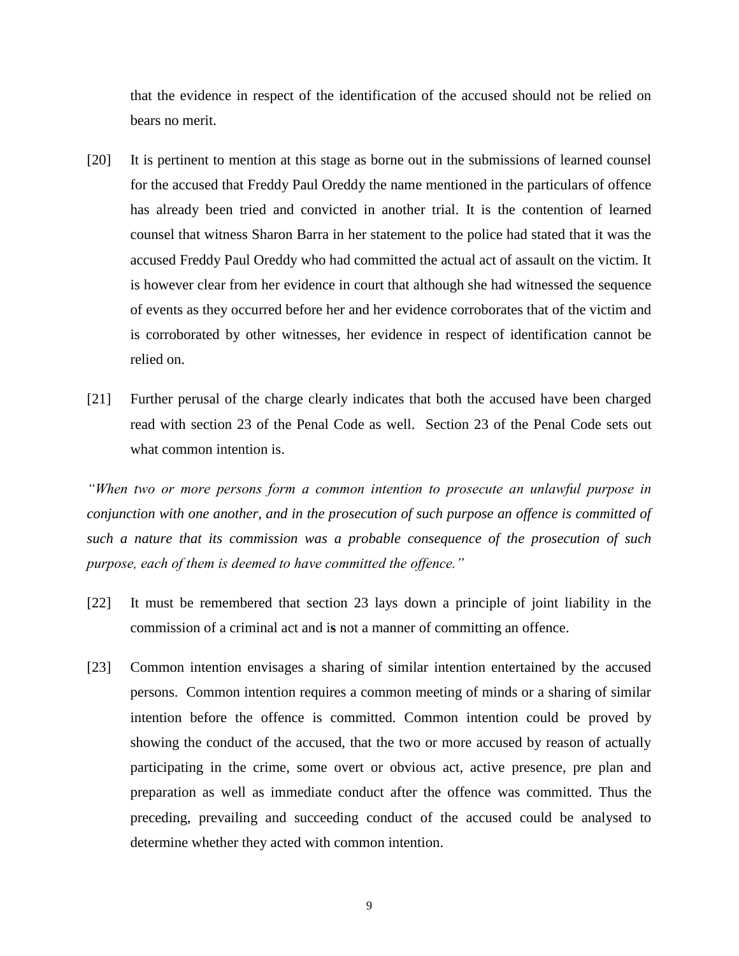that the evidence in respect of the identification of the accused should not be relied on bears no merit.

- [20] It is pertinent to mention at this stage as borne out in the submissions of learned counsel for the accused that Freddy Paul Oreddy the name mentioned in the particulars of offence has already been tried and convicted in another trial. It is the contention of learned counsel that witness Sharon Barra in her statement to the police had stated that it was the accused Freddy Paul Oreddy who had committed the actual act of assault on the victim. It is however clear from her evidence in court that although she had witnessed the sequence of events as they occurred before her and her evidence corroborates that of the victim and is corroborated by other witnesses, her evidence in respect of identification cannot be relied on.
- [21] Further perusal of the charge clearly indicates that both the accused have been charged read with section 23 of the Penal Code as well. Section 23 of the Penal Code sets out what common intention is.

*"When two or more persons form a common intention to prosecute an unlawful purpose in conjunction with one another, and in the prosecution of such purpose an offence is committed of such a nature that its commission was a probable consequence of the prosecution of such purpose, each of them is deemed to have committed the offence."*

- [22] It must be remembered that section 23 lays down a principle of joint liability in the commission of a criminal act and i**s** not a manner of committing an offence.
- [23] Common intention envisages a sharing of similar intention entertained by the accused persons. Common intention requires a common meeting of minds or a sharing of similar intention before the offence is committed. Common intention could be proved by showing the conduct of the accused, that the two or more accused by reason of actually participating in the crime, some overt or obvious act, active presence, pre plan and preparation as well as immediate conduct after the offence was committed. Thus the preceding, prevailing and succeeding conduct of the accused could be analysed to determine whether they acted with common intention.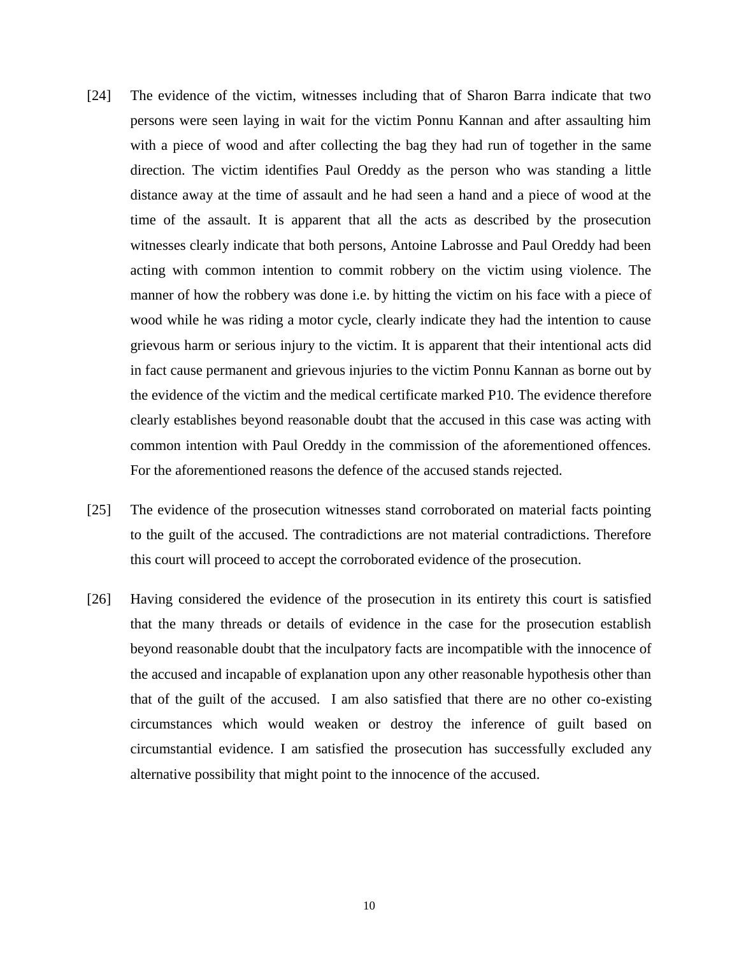- [24] The evidence of the victim, witnesses including that of Sharon Barra indicate that two persons were seen laying in wait for the victim Ponnu Kannan and after assaulting him with a piece of wood and after collecting the bag they had run of together in the same direction. The victim identifies Paul Oreddy as the person who was standing a little distance away at the time of assault and he had seen a hand and a piece of wood at the time of the assault. It is apparent that all the acts as described by the prosecution witnesses clearly indicate that both persons, Antoine Labrosse and Paul Oreddy had been acting with common intention to commit robbery on the victim using violence. The manner of how the robbery was done i.e. by hitting the victim on his face with a piece of wood while he was riding a motor cycle, clearly indicate they had the intention to cause grievous harm or serious injury to the victim. It is apparent that their intentional acts did in fact cause permanent and grievous injuries to the victim Ponnu Kannan as borne out by the evidence of the victim and the medical certificate marked P10. The evidence therefore clearly establishes beyond reasonable doubt that the accused in this case was acting with common intention with Paul Oreddy in the commission of the aforementioned offences. For the aforementioned reasons the defence of the accused stands rejected.
- [25] The evidence of the prosecution witnesses stand corroborated on material facts pointing to the guilt of the accused. The contradictions are not material contradictions. Therefore this court will proceed to accept the corroborated evidence of the prosecution.
- [26] Having considered the evidence of the prosecution in its entirety this court is satisfied that the many threads or details of evidence in the case for the prosecution establish beyond reasonable doubt that the inculpatory facts are incompatible with the innocence of the accused and incapable of explanation upon any other reasonable hypothesis other than that of the guilt of the accused. I am also satisfied that there are no other co-existing circumstances which would weaken or destroy the inference of guilt based on circumstantial evidence. I am satisfied the prosecution has successfully excluded any alternative possibility that might point to the innocence of the accused.